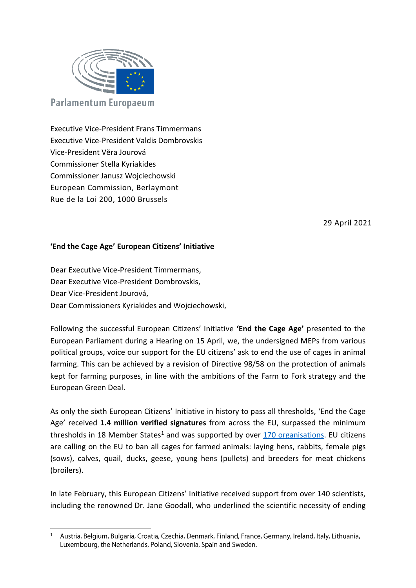

Executive Vice-President Frans Timmermans Executive Vice-President Valdis Dombrovskis Vice-President Věra Jourová Commissioner Stella Kyriakides Commissioner Janusz Wojciechowski European Commission, Berlaymont Rue de la Loi 200, 1000 Brussels

29 April 2021

## **'End the Cage Age' European Citizens' Initiative**

Dear Executive Vice-President Timmermans, Dear Executive Vice-President Dombrovskis, Dear Vice-President Jourová, Dear Commissioners Kyriakides and Wojciechowski,

Following the successful European Citizens' Initiative **'End the Cage Age'** presented to the European Parliament during a Hearing on 15 April, we, the undersigned MEPs from various political groups, voice our support for the EU citizens' ask to end the use of cages in animal farming. This can be achieved by a revision of Directive 98/58 on the protection of animals kept for farming purposes, in line with the ambitions of the Farm to Fork strategy and the European Green Deal.

As only the sixth European Citizens' Initiative in history to pass all thresholds, 'End the Cage Age' received **1.4 million verified signatures** from across the EU, surpassed the minimum thresholds in 18 Member States<sup>1</sup> and was supported by over  $170$  organisations. EU citizens are calling on the EU to ban all cages for farmed animals: laying hens, rabbits, female pigs (sows), calves, quail, ducks, geese, young hens (pullets) and breeders for meat chickens (broilers).

In late February, this European Citizens' Initiative received support from over 140 scientists, including the renowned Dr. Jane Goodall, who underlined the scientific necessity of ending

 $\overline{a}$ <sup>1</sup> Austria, Belgium, Bulgaria, Croatia, Czechia, Denmark, Finland, France, Germany, Ireland, Italy, Lithuania, Luxembourg, the Netherlands, Poland, Slovenia, Spain and Sweden.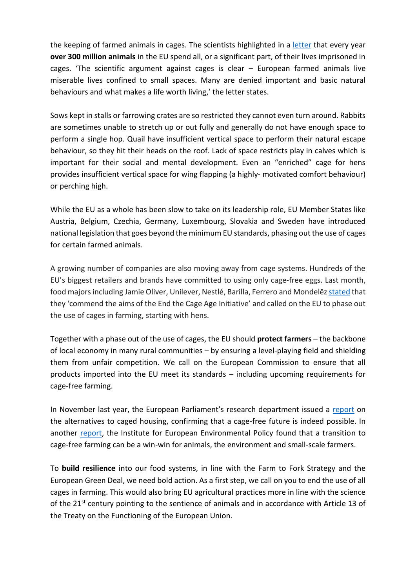the keeping of farmed animals in cages. The scientists highlighted in a [letter](https://www.ciwfdocs.org/docs/~D150497) that every year **over 300 million animals** in the EU spend all, or a significant part, of their lives imprisoned in cages. 'The scientific argument against cages is clear – European farmed animals live miserable lives confined to small spaces. Many are denied important and basic natural behaviours and what makes a life worth living,' the letter states.

Sows kept in stalls or farrowing crates are so restricted they cannot even turn around. Rabbits are sometimes unable to stretch up or out fully and generally do not have enough space to perform a single hop. Quail have insufficient vertical space to perform their natural escape behaviour, so they hit their heads on the roof. Lack of space restricts play in calves which is important for their social and mental development. Even an "enriched" cage for hens provides insufficient vertical space for wing flapping (a highly- motivated comfort behaviour) or perching high.

While the EU as a whole has been slow to take on its leadership role, EU Member States like Austria, Belgium, Czechia, Germany, Luxembourg, Slovakia and Sweden have introduced national legislation that goes beyond the minimum EU standards, phasing out the use of cages for certain farmed animals.

A growing number of companies are also moving away from cage systems. Hundreds of the EU's biggest retailers and brands have committed to using only cage-free eggs. Last month, food majors including Jamie Oliver, Unilever, Nestlé, Barilla, Ferrero and Mondelez [stated](https://www.ciwf.it/media/7444461/food-businesses-letter-to-eu.pdf) that they 'commend the aims of the End the Cage Age Initiative' and called on the EU to phase out the use of cages in farming, starting with hens.

Together with a phase out of the use of cages, the EU should **protect farmers** – the backbone of local economy in many rural communities – by ensuring a level-playing field and shielding them from unfair competition. We call on the European Commission to ensure that all products imported into the EU meet its standards – including upcoming requirements for cage-free farming.

In November last year, the European Parliament's research department issued a [report](https://www.europarl.europa.eu/RegData/etudes/STUD/2020/658539/IPOL_STU(2020)658539_EN.pdf) on the alternatives to caged housing, confirming that a cage-free future is indeed possible. In another [report,](https://ieep.eu/publications/assessment-of-environmental-and-socio-economic-impacts-of-increased-animal-welfare-standards) the Institute for European Environmental Policy found that a transition to cage-free farming can be a win-win for animals, the environment and small-scale farmers.

To **build resilience** into our food systems, in line with the Farm to Fork Strategy and the European Green Deal, we need bold action. As a first step, we call on you to end the use of all cages in farming. This would also bring EU agricultural practices more in line with the science of the 21<sup>st</sup> century pointing to the sentience of animals and in accordance with Article 13 of the Treaty on the Functioning of the European Union.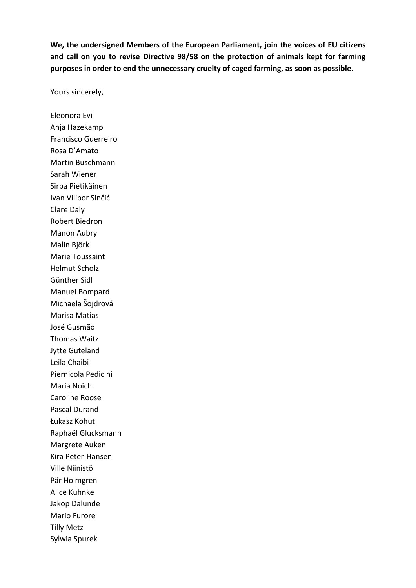**We, the undersigned Members of the European Parliament, join the voices of EU citizens and call on you to revise Directive 98/58 on the protection of animals kept for farming purposes in order to end the unnecessary cruelty of caged farming, as soon as possible.**

Yours sincerely,

Eleonora Evi Anja Hazekamp Francisco Guerreiro Rosa D'Amato Martin Buschmann Sarah Wiener Sirpa Pietikäinen Ivan Vilibor Sinčić Clare Daly Robert Biedron Manon Aubry Malin Björk Marie Toussaint Helmut Scholz Günther Sidl Manuel Bompard Michaela Šojdrová Marisa Matias José Gusmão Thomas Waitz Jytte Guteland Leila Chaibi Piernicola Pedicini Maria Noichl Caroline Roose Pascal Durand Łukasz Kohut Raphaël Glucksmann Margrete Auken Kira Peter-Hansen Ville Niinistö Pär Holmgren Alice Kuhnke Jakop Dalunde Mario Furore Tilly Metz Sylwia Spurek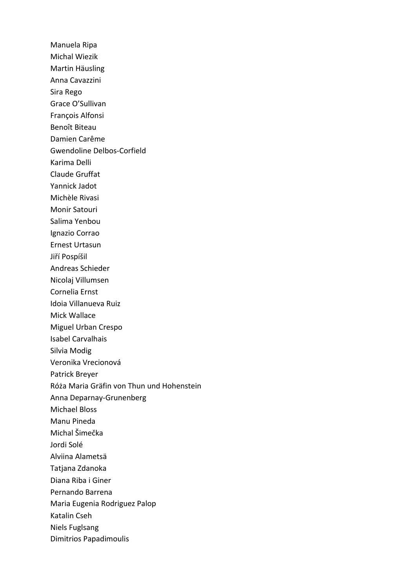Manuela Ripa Michal Wiezik Martin Häusling Anna Cavazzini Sira Rego Grace O'Sullivan François Alfonsi Benoît Biteau Damien Carême Gwendoline Delbos-Corfield Karima Delli Claude Gruffat Yannick Jadot Michèle Rivasi Monir Satouri Salima Yenbou Ignazio Corrao Ernest Urtasun Jiří Pospíšil Andreas Schieder Nicolaj Villumsen Cornelia Ernst Idoia Villanueva Ruiz Mick Wallace Miguel Urban Crespo Isabel Carvalhais Silvia Modig Veronika Vrecionová Patrick Breyer Róża Maria Gräfin von Thun und Hohenstein Anna Deparnay-Grunenberg Michael Bloss Manu Pineda Michal Šimečka Jordi Solé Alviina Alametsä Tatjana Zdanoka Diana Riba i Giner Pernando Barrena Maria Eugenia Rodriguez Palop Katalin Cseh Niels Fuglsang Dimitrios Papadimoulis